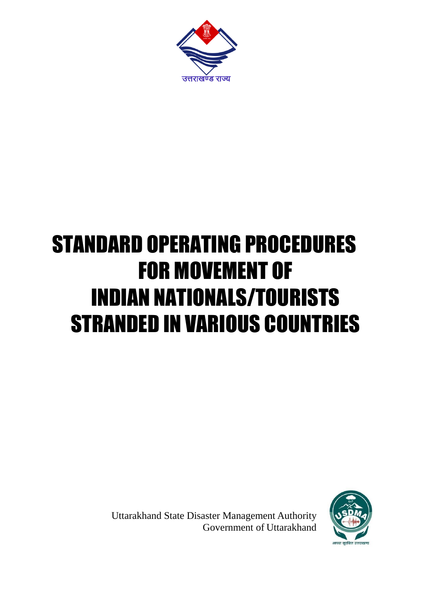

## STANDARD OPERATING PROCEDURES FOR MOVEMENT OF INDIAN NATIONALS/TOURISTS STRANDED IN VARIOUS COUNTRIES

Uttarakhand State Disaster Management Authority Government of Uttarakhand

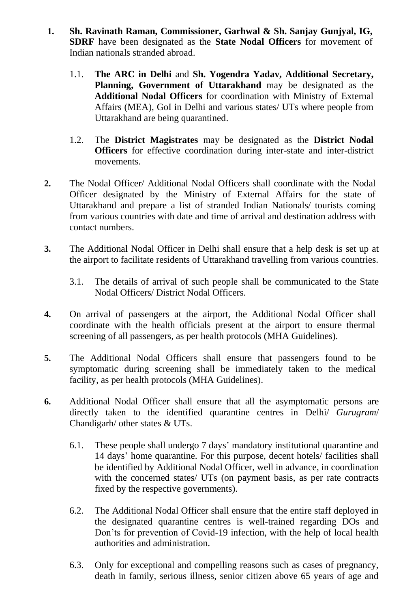- **1. Sh. Ravinath Raman, Commissioner, Garhwal & Sh. Sanjay Gunjyal, IG, SDRF** have been designated as the **State Nodal Officers** for movement of Indian nationals stranded abroad.
	- 1.1. **The ARC in Delhi** and **Sh. Yogendra Yadav, Additional Secretary, Planning, Government of Uttarakhand** may be designated as the **Additional Nodal Officers** for coordination with Ministry of External Affairs (MEA), GoI in Delhi and various states/ UTs where people from Uttarakhand are being quarantined.
	- 1.2. The **District Magistrates** may be designated as the **District Nodal Officers** for effective coordination during inter-state and inter-district movements.
- **2.** The Nodal Officer/ Additional Nodal Officers shall coordinate with the Nodal Officer designated by the Ministry of External Affairs for the state of Uttarakhand and prepare a list of stranded Indian Nationals/ tourists coming from various countries with date and time of arrival and destination address with contact numbers.
- **3.** The Additional Nodal Officer in Delhi shall ensure that a help desk is set up at the airport to facilitate residents of Uttarakhand travelling from various countries.
	- 3.1. The details of arrival of such people shall be communicated to the State Nodal Officers/ District Nodal Officers.
- **4.** On arrival of passengers at the airport, the Additional Nodal Officer shall coordinate with the health officials present at the airport to ensure thermal screening of all passengers, as per health protocols (MHA Guidelines).
- **5.** The Additional Nodal Officers shall ensure that passengers found to be symptomatic during screening shall be immediately taken to the medical facility, as per health protocols (MHA Guidelines).
- **6.** Additional Nodal Officer shall ensure that all the asymptomatic persons are directly taken to the identified quarantine centres in Delhi/ *Gurugram*/ Chandigarh/ other states & UTs.
	- 6.1. These people shall undergo 7 days' mandatory institutional quarantine and 14 days' home quarantine. For this purpose, decent hotels/ facilities shall be identified by Additional Nodal Officer, well in advance, in coordination with the concerned states/ UTs (on payment basis, as per rate contracts fixed by the respective governments).
	- 6.2. The Additional Nodal Officer shall ensure that the entire staff deployed in the designated quarantine centres is well-trained regarding DOs and Don'ts for prevention of Covid-19 infection, with the help of local health authorities and administration.
	- 6.3. Only for exceptional and compelling reasons such as cases of pregnancy, death in family, serious illness, senior citizen above 65 years of age and